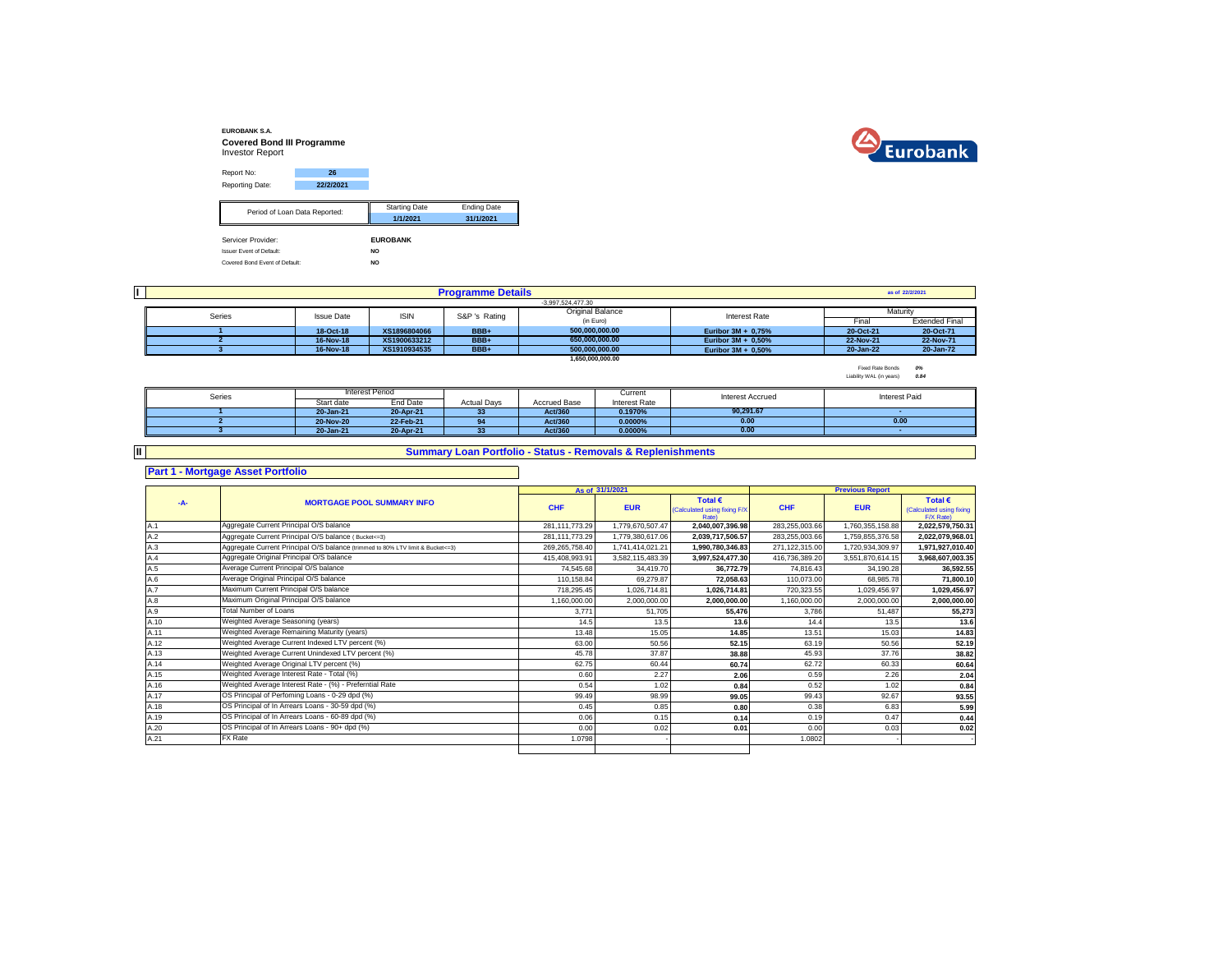



| Report No:                      | 26                            |                      |                    |
|---------------------------------|-------------------------------|----------------------|--------------------|
| Reporting Date:                 | 22/2/2021                     |                      |                    |
|                                 |                               |                      |                    |
|                                 | Period of Loan Data Reported: | <b>Starting Date</b> | <b>Ending Date</b> |
|                                 |                               | 1/1/2021             | 31/1/2021          |
|                                 |                               |                      |                    |
| Servicer Provider:              |                               | <b>EUROBANK</b>      |                    |
| <b>Issuer Event of Default:</b> |                               | NO.                  |                    |
| Covered Bond Event of Default:  |                               | <b>NO</b>            |                    |

|        |                   |              | <b>Programme Details</b> |                         |                       |           | as of 22/2/2021       |
|--------|-------------------|--------------|--------------------------|-------------------------|-----------------------|-----------|-----------------------|
|        |                   |              |                          | $-3.997.524.477.30$     |                       |           |                       |
| Series | <b>Issue Date</b> | <b>ISIN</b>  | S&P 's Rating            | <b>Original Balance</b> | Interest Rate         |           | Maturity              |
|        |                   |              |                          | (in Euro)               |                       | Final     | <b>Extended Final</b> |
|        | 18-Oct-18         | XS1896804066 | BBB+                     | 500.000.000.00          | Euribor $3M + 0.75%$  | 20-Oct-21 | 20-Oct-71             |
|        | 16-Nov-18         | XS1900633212 | BBB+                     | 650.000.000.00          | Euribor $3M + 0.50\%$ | 22-Nov-21 | 22-Nov-71             |
|        | 16-Nov-18         | XS1910934535 | BBB+                     | 500.000.000.00          | Euribor $3M + 0.50\%$ | 20-Jan-22 | 20-Jan-72             |
|        |                   |              |                          | 1.650.000.000.00        |                       |           |                       |

Fixed Rate Bonds *0%* Liability WAL (in years) *0.84*

| Series |            | Interest Period |                    |                     | Current       | <b>Interest Accrued</b> | Interest Paid |
|--------|------------|-----------------|--------------------|---------------------|---------------|-------------------------|---------------|
|        | Start date | End Date        | <b>Actual Davs</b> | <b>Accrued Base</b> | Interest Rate |                         |               |
|        | 20-Jan-21  | 20-Apr-21       | 33                 | Act/360             | 0.1970%       | 90.291.67               |               |
|        | 20-Nov-20  | 22-Feb-21       | 94                 | Act/360             | $0.0000\%$    | 0.00                    | 0.00          |
|        | 20-Jan-21  | 20-Apr-21       |                    | Act/360             | 0.0000%       | 0.00                    |               |

**II**

## **Summary Loan Portfolio - Status - Removals & Replenishments**

**Part 1 - Mortgage Asset Portfolio**

|       |                                                                                  |                | As of 31/1/2021  |                                                         |                | <b>Previous Report</b> |                                                           |
|-------|----------------------------------------------------------------------------------|----------------|------------------|---------------------------------------------------------|----------------|------------------------|-----------------------------------------------------------|
| $-A-$ | <b>MORTGAGE POOL SUMMARY INFO</b>                                                | <b>CHF</b>     | <b>EUR</b>       | Total €<br>(Calculated using fixing F/X<br><b>Rate)</b> | <b>CHF</b>     | <b>EUR</b>             | Total $\epsilon$<br>(Calculated using fixing<br>F/X Rate) |
| A.1   | Aggregate Current Principal O/S balance                                          | 281,111,773.29 | 1.779.670.507.47 | 2,040,007,396.98                                        | 283,255,003.66 | 1,760,355,158.88       | 2,022,579,750.31                                          |
| A.2   | Aggregate Current Principal O/S balance (Bucket<=3)                              | 281,111,773.29 | 1,779,380,617.06 | 2,039,717,506.57                                        | 283,255,003.66 | 1,759,855,376.58       | 2,022,079,968.01                                          |
| A.3   | Aggregate Current Principal O/S balance (trimmed to 80% LTV limit & Bucket <= 3) | 269,265,758.40 | 1,741,414,021.21 | 1,990,780,346.83                                        | 271,122,315.00 | 1,720,934,309.97       | 1,971,927,010.40                                          |
| A.4   | Aggregate Original Principal O/S balance                                         | 415.408.993.91 | 3.582.115.483.39 | 3.997.524.477.30                                        | 416,736,389.20 | 3.551.870.614.15       | 3,968,607,003.35                                          |
| A.5   | Average Current Principal O/S balance                                            | 74.545.68      | 34.419.70        | 36.772.79                                               | 74.816.43      | 34.190.28              | 36,592.55                                                 |
| A.6   | Average Original Principal O/S balance                                           | 110.158.84     | 69.279.87        | 72.058.63                                               | 110.073.00     | 68.985.78              | 71.800.10                                                 |
| A.7   | Maximum Current Principal O/S balance                                            | 718.295.45     | 1.026.714.81     | 1.026.714.81                                            | 720.323.55     | 1.029.456.97           | 1.029.456.97                                              |
| A.8   | Maximum Original Principal O/S balance                                           | 1.160.000.00   | 2.000.000.00     | 2.000.000.00                                            | 1,160,000.00   | 2,000,000.00           | 2,000,000.00                                              |
| A.9   | <b>Total Number of Loans</b>                                                     | 3.771          | 51.705           | 55.476                                                  | 3.786          | 51.487                 | 55,273                                                    |
| A.10  | Weighted Average Seasoning (years)                                               | 14.5           | 13.5             | 13.6                                                    | 14.4           | 13.5                   | 13.6                                                      |
| A.11  | Weighted Average Remaining Maturity (years)                                      | 13.48          | 15.05            | 14.85                                                   | 13.51          | 15.03                  | 14.83                                                     |
| A.12  | Weighted Average Current Indexed LTV percent (%)                                 | 63.00          | 50.56            | 52.15                                                   | 63.19          | 50.56                  | 52.19                                                     |
| A.13  | Weighted Average Current Unindexed LTV percent (%)                               | 45.78          | 37.87            | 38.88                                                   | 45.93          | 37.76                  | 38.82                                                     |
| A.14  | Weighted Average Original LTV percent (%)                                        | 62.75          | 60.44            | 60.74                                                   | 62.72          | 60.33                  | 60.64                                                     |
| A.15  | Weighted Average Interest Rate - Total (%)                                       | 0.60           | 2.27             | 2.06                                                    | 0.59           | 2.26                   | 2.04                                                      |
| A.16  | Weighted Average Interest Rate - (%) - Preferntial Rate                          | 0.54           | 1.02             | 0.84                                                    | 0.52           | 1.02                   | 0.84                                                      |
| A.17  | OS Principal of Perfoming Loans - 0-29 dpd (%)                                   | 99.49          | 98.99            | 99.05                                                   | 99.43          | 92.67                  | 93.55                                                     |
| A.18  | OS Principal of In Arrears Loans - 30-59 dpd (%)                                 | 0.45           | 0.85             | 0.80                                                    | 0.38           | 6.83                   | 5.99                                                      |
| A.19  | OS Principal of In Arrears Loans - 60-89 dpd (%)                                 | 0.06           | 0.15             | 0.14                                                    | 0.19           | 0.47                   | 0.44                                                      |
| A.20  | OS Principal of In Arrears Loans - 90+ dpd (%)                                   | 0.00           | 0.02             | 0.01                                                    | 0.00           | 0.03                   | 0.02                                                      |
| A.21  | FX Rate                                                                          | 1.0798         |                  |                                                         | 1.0802         |                        |                                                           |
|       |                                                                                  |                |                  |                                                         |                |                        |                                                           |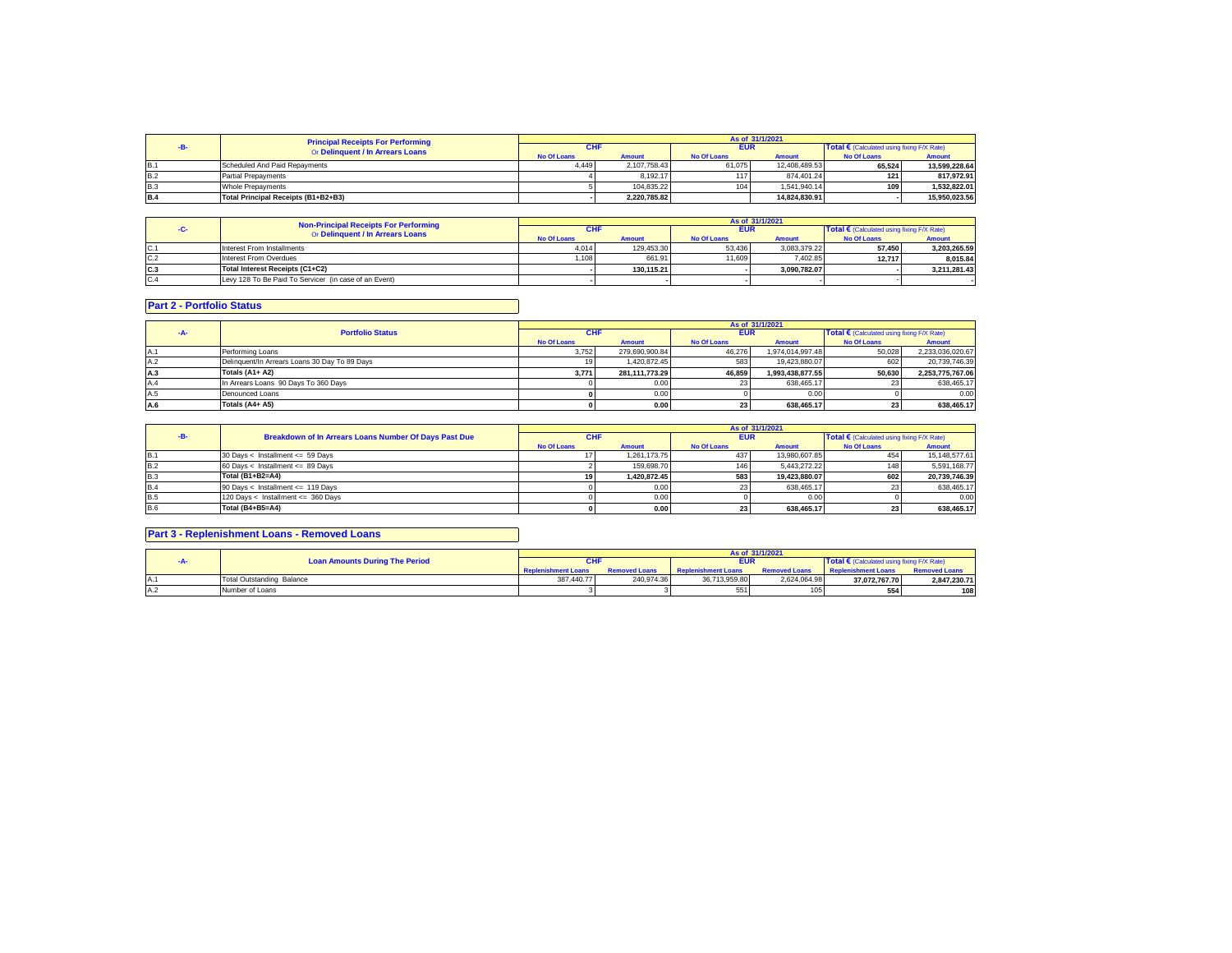|            | <b>Principal Receipts For Performing</b> | As of 31/1/2021    |               |                    |               |                                            |               |  |
|------------|------------------------------------------|--------------------|---------------|--------------------|---------------|--------------------------------------------|---------------|--|
|            | Or Delinquent / In Arrears Loans         | CHI                |               | <b>EUR</b>         |               | Total € (Calculated using fixing F/X Rate) |               |  |
|            |                                          | <b>No Of Loans</b> | <b>Amount</b> | <b>No Of Loans</b> | <b>Amount</b> | <b>No Of Loans</b>                         | Amount        |  |
| <b>B.1</b> | Scheduled And Paid Repayments            | 4.449              | 2.107.758.43  | 61.075             | 12.408.489.53 | 65.524                                     | 13.599.228.64 |  |
| <b>B.2</b> | <b>Partial Prepayments</b>               |                    | 8.192.17      |                    | 874.401.24    | 121                                        | 817.972.91    |  |
| B.3        | Whole Prepayments                        |                    | 104.835.22    | 104                | 1.541.940.14  | 109 <sup>1</sup>                           | 1.532.822.01  |  |
| <b>B.4</b> | Total Principal Receipts (B1+B2+B3)      |                    | 2.220.785.82  |                    | 14.824.830.91 |                                            | 15.950.023.56 |  |

|      | <b>Non-Principal Receipts For Performing</b>          | As of 31/1/2021    |               |                    |               |                                                     |               |  |
|------|-------------------------------------------------------|--------------------|---------------|--------------------|---------------|-----------------------------------------------------|---------------|--|
|      | Or Delinquent / In Arrears Loans                      | <b>CHF</b>         |               | <b>EUR</b>         |               | Total $\epsilon$ (Calculated using fixing F/X Rate) |               |  |
|      |                                                       | <b>No Of Loans</b> | <b>Amount</b> | <b>No Of Loans</b> | <b>Amount</b> | <b>No Of Loans</b>                                  | <b>Amount</b> |  |
| IC.1 | Interest From Installments                            | 4.014              | 129.453.30    | 53.436             | 3.083.379.22  | 57.450                                              | 3.203.265.59  |  |
| C.2  | Interest From Overdues                                | 1.108              | 661.91        | 11,609             | 7.402.85      | 12.717                                              | 8.015.84      |  |
| lc.3 | Total Interest Receipts (C1+C2)                       |                    | 130.115.21    |                    | 3.090.782.07  |                                                     | 3.211.281.43  |  |
| C.4  | Levy 128 To Be Paid To Servicer (in case of an Event) |                    |               |                    |               |                                                     |               |  |

## **Part 2 - Portfolio Status**

|     |                                               | As of 31/1/2021    |                |                    |                  |                                            |                  |  |
|-----|-----------------------------------------------|--------------------|----------------|--------------------|------------------|--------------------------------------------|------------------|--|
|     | <b>Portfolio Status</b>                       | <b>CHF</b>         |                | <b>EUR</b>         |                  | Total € (Calculated using fixing F/X Rate) |                  |  |
|     |                                               | <b>No Of Loans</b> | <b>Amount</b>  | <b>No Of Loans</b> | <b>Amount</b>    | <b>No Of Loans</b>                         | <b>Amount</b>    |  |
| A.1 | Performing Loans                              | 3.752              | 279.690.900.84 | 46.276             | 1.974.014.997.48 | 50.028                                     | 2,233,036,020.67 |  |
| A.2 | Delinguent/In Arrears Loans 30 Day To 89 Days |                    | 1.420.872.45   | 583                | 19.423.880.07    | 602                                        | 20.739.746.39    |  |
| A.3 | Totals (A1+ A2)                               | 3.771              | 281.111.773.29 | 46.859             | 1.993.438.877.55 | 50.630                                     | 2.253.775.767.06 |  |
| A.4 | In Arrears Loans 90 Days To 360 Days          |                    | 0.00           | 23                 | 638.465.17       |                                            | 638,465.17       |  |
| A.5 | Denounced Loans                               |                    | 0.00           |                    | 0.00             |                                            | 0.00             |  |
| A.6 | Totals (A4+ A5)                               |                    | 0.001          |                    | 638.465.17       |                                            | 638.465.17       |  |

|            |                                                              |                    |               |                    | As of 31/1/2021 |                                                     |               |
|------------|--------------------------------------------------------------|--------------------|---------------|--------------------|-----------------|-----------------------------------------------------|---------------|
|            | <b>Breakdown of In Arrears Loans Number Of Days Past Due</b> | <b>CHF</b>         |               | <b>EUR</b>         |                 | Total $\epsilon$ (Calculated using fixing F/X Rate) |               |
|            |                                                              | <b>No Of Loans</b> | <b>Amount</b> | <b>No Of Loans</b> | <b>Amount</b>   | <b>No Of Loans</b>                                  | <b>Amount</b> |
| IB.1       | 30 Days < Installment <= 59 Days                             |                    | 1.261.173.75  | 437                | 13.980.607.85   |                                                     | 15.148.577.61 |
| <b>B.2</b> | $60$ Days < Installment <= 89 Days                           |                    | 159.698.70    | 146                | 5.443.272.22    |                                                     | 5.591.168.77  |
| B.3        | Total (B1+B2=A4)                                             |                    | 1.420.872.45  | 583                | 19.423.880.07   | 602                                                 | 20.739.746.39 |
| <b>B.4</b> | 90 Days < Installment <= 119 Days                            |                    | 0.00          |                    | 638.465.17      |                                                     | 638,465.17    |
| <b>B.5</b> | 120 Days < Installment <= 360 Days                           |                    | 0.00          |                    | 0.00            |                                                     | 0.00          |
| <b>B.6</b> | <b>Total (B4+B5=A4)</b>                                      |                    | 0.00          | 23                 | 638.465.17      |                                                     | 638.465.17    |

## **Part 3 - Replenishment Loans - Removed Loans**

|                                       |                            |                      |                            | As of 31/1/2021      |                                                     |                      |
|---------------------------------------|----------------------------|----------------------|----------------------------|----------------------|-----------------------------------------------------|----------------------|
| <b>Loan Amounts During The Period</b> | <b>CHF</b>                 |                      | <b>EUR</b>                 |                      | Total $\epsilon$ (Calculated using fixing F/X Rate) |                      |
|                                       | <b>Replenishment Loans</b> | <b>Removed Loans</b> | <b>Replenishment Loans</b> | <b>Removed Loans</b> | <b>Replenishment Loans</b>                          | <b>Removed Loans</b> |
| Total Outstanding Balance             | 387.440.77                 | 240.974.36           | 36.713.959.80              | 2.624.064.98         | 37.072.767.70                                       | 2,847,230.71         |
| Number of Loans                       |                            |                      | 551                        |                      | 554                                                 | 108                  |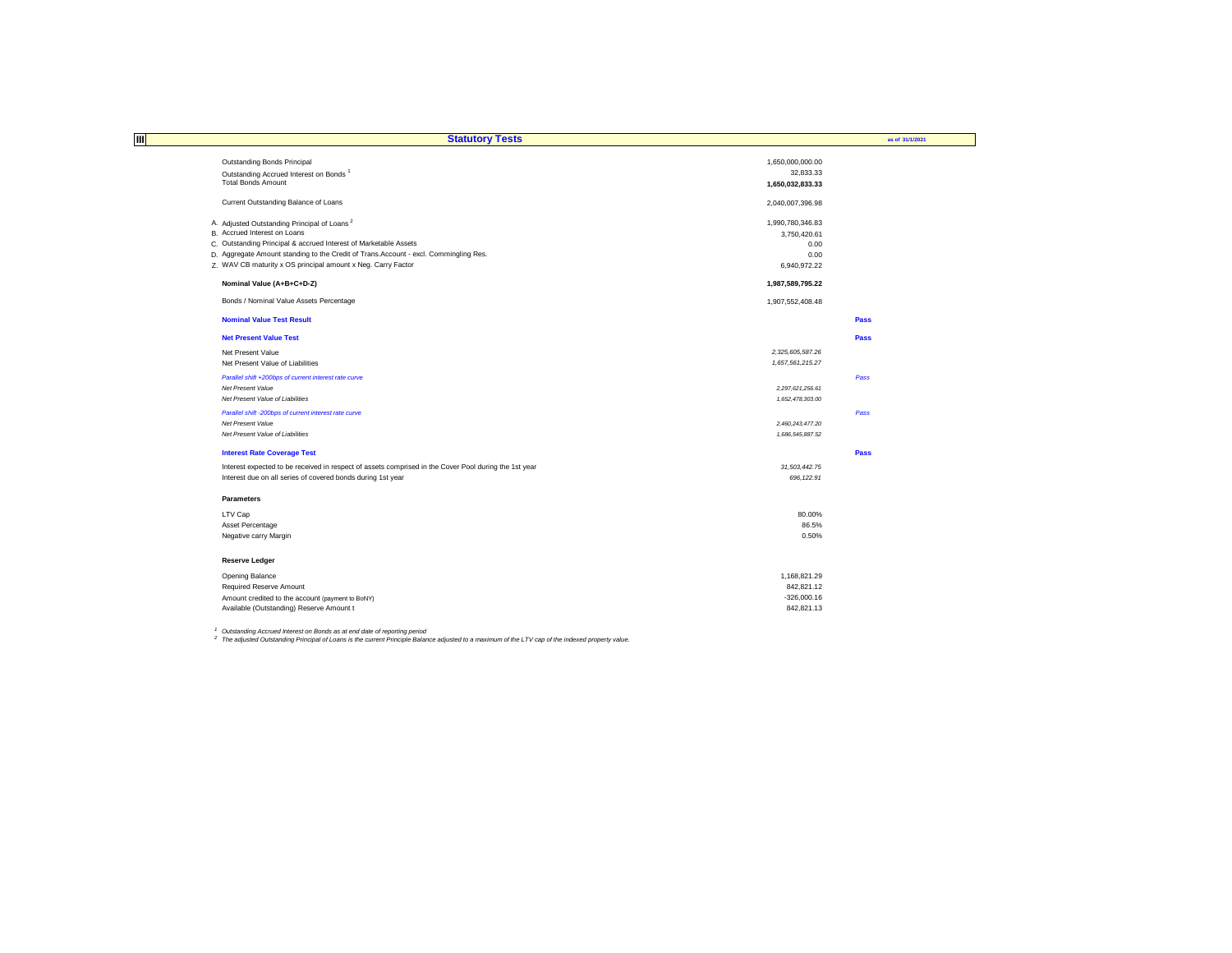| Ш                                                                                                     | <b>Statutory Tests</b> | as of 31/1/2021 |
|-------------------------------------------------------------------------------------------------------|------------------------|-----------------|
|                                                                                                       |                        |                 |
| <b>Outstanding Bonds Principal</b>                                                                    | 1,650,000,000.00       |                 |
| Outstanding Accrued Interest on Bonds <sup>1</sup>                                                    | 32,833.33              |                 |
| <b>Total Bonds Amount</b>                                                                             | 1,650,032,833.33       |                 |
| Current Outstanding Balance of Loans                                                                  | 2,040,007,396.98       |                 |
| A. Adjusted Outstanding Principal of Loans <sup>2</sup>                                               | 1,990,780,346.83       |                 |
| B. Accrued Interest on Loans                                                                          | 3,750,420.61           |                 |
| C. Outstanding Principal & accrued Interest of Marketable Assets                                      | 0.00                   |                 |
| D. Aggregate Amount standing to the Credit of Trans. Account - excl. Commingling Res.                 | 0.00                   |                 |
| Z. WAV CB maturity x OS principal amount x Neg. Carry Factor                                          | 6,940,972.22           |                 |
| Nominal Value (A+B+C+D-Z)                                                                             | 1,987,589,795.22       |                 |
| Bonds / Nominal Value Assets Percentage                                                               | 1,907,552,408.48       |                 |
| <b>Nominal Value Test Result</b>                                                                      |                        | Pass            |
| <b>Net Present Value Test</b>                                                                         |                        | Pass            |
| Net Present Value                                                                                     | 2,325,605,587.26       |                 |
| Net Present Value of Liabilities                                                                      | 1,657,561,215.27       |                 |
| Parallel shift +200bps of current interest rate curve                                                 |                        | Pass            |
| Net Present Value                                                                                     | 2,297,621,256.61       |                 |
| Net Present Value of Liabilities                                                                      | 1,652,478,303.00       |                 |
| Parallel shift -200bps of current interest rate curve                                                 |                        | Pass            |
| Net Present Value                                                                                     | 2,460,243,477.20       |                 |
| Net Present Value of Liabilities                                                                      | 1,686,545,887.52       |                 |
| <b>Interest Rate Coverage Test</b>                                                                    |                        | Pass            |
| Interest expected to be received in respect of assets comprised in the Cover Pool during the 1st year | 31,503,442.75          |                 |
| Interest due on all series of covered bonds during 1st year                                           | 696, 122.91            |                 |
| <b>Parameters</b>                                                                                     |                        |                 |
| LTV Cap                                                                                               | 80.00%                 |                 |
| Asset Percentage                                                                                      | 86.5%                  |                 |
| Negative carry Margin                                                                                 | 0.50%                  |                 |
| <b>Reserve Ledger</b>                                                                                 |                        |                 |
| Opening Balance                                                                                       | 1,168,821.29           |                 |
| <b>Required Reserve Amount</b>                                                                        | 842,821.12             |                 |
| Amount credited to the account (payment to BoNY)                                                      | $-326,000.16$          |                 |
| Available (Outstanding) Reserve Amount t                                                              | 842,821.13             |                 |

<sup>1</sup> Outstanding Accrued Interest on Bonds as at end date of reporting period<br><sup>2</sup> The adjusted Outstanding Principal of Loans is the current Principle Balance adjusted to a maximum of the LTV cap of the indexed property val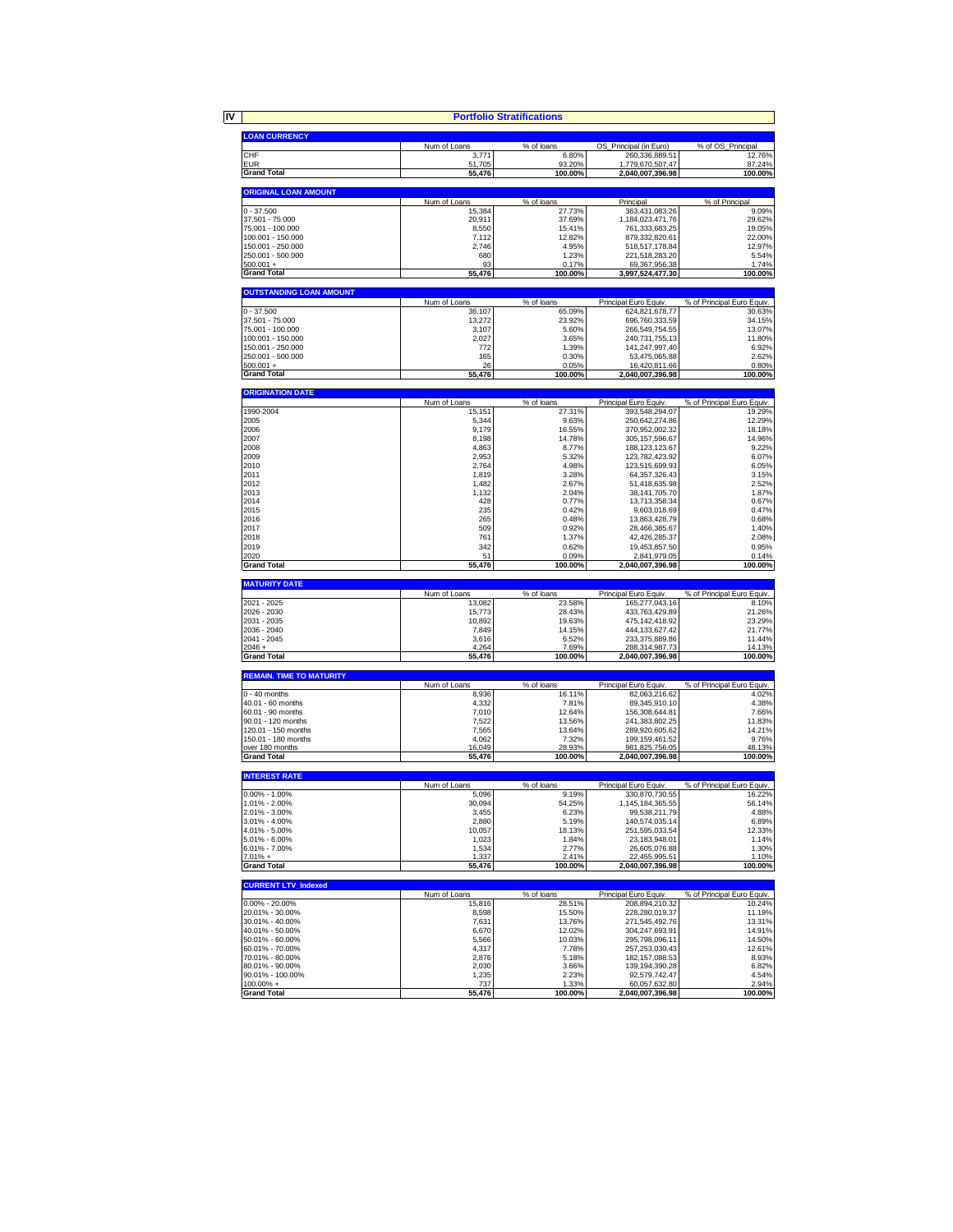|                                        |                  | <b>Portfolio Stratifications</b> |                                       |                            |
|----------------------------------------|------------------|----------------------------------|---------------------------------------|----------------------------|
|                                        |                  |                                  |                                       |                            |
| <b>LOAN CURRENCY</b>                   | Num of Loans     | % of loans                       | OS_Principal (in Euro)                | % of OS_Principal          |
| CHF                                    | 3,771            | 6.80%                            | 260,336,889.51                        | 12.76%                     |
| <b>EUR</b>                             | 51,705           | 93.20%                           | 1,779,670,507.47                      | 87.24%                     |
| <b>Grand Total</b>                     | 55,476           | 100.00%                          | 2,040,007,396.98                      | 100.00%                    |
| <b>ORIGINAL LOAN AMOUNT</b>            |                  |                                  |                                       |                            |
| $0 - 37.500$                           | Num of Loans     | % of loans                       | Principal                             | % of Principal<br>9.09%    |
| 37.501 - 75.000                        | 15,384<br>20,911 | 27.73%<br>37.69%                 | 363,431,083.26<br>1.184.023.471.76    | 29.62%                     |
| 75.001 - 100.000                       | 8,550            | 15.41%                           | 761,333,683.25                        | 19.05%                     |
| 100.001 - 150.000                      | 7,112            | 12.82%                           | 879,332,820.61                        | 22.00%                     |
| 150.001 - 250.000                      | 2,746            | 4.95%                            | 518,517,178.84                        | 12.97%                     |
| 250.001 - 500.000                      | 680              | 1.23%                            | 221,518,283.20                        | 5.54%<br>1.74%             |
| $500.001 +$<br><b>Grand Total</b>      | 93<br>55,476     | 0.17%<br>100.00%                 | 69,367,956.38<br>3,997,524,477.30     | 100.00%                    |
| <b>OUTSTANDING LOAN AMOUNT</b>         |                  |                                  |                                       |                            |
|                                        | Num of Loans     | % of loans                       | Principal Euro Equiv.                 | % of Principal Euro Equiv. |
| $0 - 37.500$                           | 36,107           | 65.09%                           | 624,821,678.77                        | 30.63%                     |
| 37.501 - 75.000                        | 13.272           | 23.92%                           | 696,760,333.59                        | 34.15%                     |
| 75.001 - 100.000                       | 3,107            | 5.60%                            | 266,549,754.55                        | 13.07%                     |
| 100.001 - 150.000<br>150.001 - 250.000 | 2,027<br>772     | 3.65%<br>1.39%                   | 240,731,755.13<br>141,247,997.40      | 11.80%<br>6.92%            |
| 250.001 - 500.000                      | 165              | 0.30%                            | 53,475,065.88                         | 2.62%                      |
| $500.001 +$                            | 26               | 0.05%                            | 16,420,811.66                         | 0.80%                      |
| <b>Grand Total</b>                     | 55,476           | 100.00%                          | 2,040,007,396.98                      | 100.00%                    |
| <b>ORIGINATION DATE</b>                |                  |                                  |                                       |                            |
|                                        | Num of Loans     | % of loans                       | Principal Euro Equiv.                 | % of Principal Euro Equiv. |
| 1990-2004                              | 15,151           | 27.31%                           | 393,548,294.07                        | 19.29%                     |
| 2005                                   | 5,344            | 9.63%                            | 250,642,274.86                        | 12.29%                     |
| 2006                                   | 9,179            | 16.55%                           | 370,952,002.32                        | 18.18%                     |
| 2007<br>2008                           | 8,198<br>4,863   | 14.78%<br>8.77%                  | 305, 157, 596.67<br>188, 123, 123. 67 | 14.96%<br>9.22%            |
| 2009                                   | 2,953            | 5.32%                            | 123,782,423.92                        | 6.07%                      |
| 2010                                   | 2,764            | 4.98%                            | 123,515,699.93                        | 6.05%                      |
| 2011                                   | 1,819            | 3.28%                            | 64, 357, 326.43                       | 3.15%                      |
| 2012                                   | 1.482            | 2.67%                            | 51,418,635.98                         | 2.52%                      |
| 2013                                   | 1,132            | 2.04%                            | 38, 141, 705. 70                      | 1.87%                      |
| 2014                                   | 428              | 0.77%                            | 13,713,358.34                         | 0.67%                      |
| 2015                                   | 235              | 0.42%                            | 9,603,018.69                          | 0.47%                      |
| 2016                                   | 265              | 0.48%                            | 13,863,428.79                         | 0.68%                      |
| 2017<br>2018                           | 509<br>761       | 0.92%                            | 28,466,385.67                         | 1.40%<br>2.08%             |
| 2019                                   | 342              | 1.37%<br>0.62%                   | 42,426,285.37<br>19,453,857.50        | 0.95%                      |
| 2020                                   | 51               | 0.09%                            | 2,841,979.05                          | 0.14%                      |
| <b>Grand Total</b>                     | 55,476           | 100.00%                          | 2,040,007,396.98                      | 100.00%                    |
| <b>MATURITY DATE</b>                   |                  |                                  |                                       |                            |
|                                        | Num of Loans     | % of loans                       | Principal Euro Equiv                  | % of Principal Euro Equiv. |
| 2021 - 2025<br>2026 - 2030             | 13,082           | 23.58%<br>28.43%                 | 165,277,043.16                        | 8.10%                      |
| 2031 - 2035                            | 15,773<br>10,892 | 19.63%                           | 433,763,429.89<br>475,142,418.92      | 21.26%<br>23.29%           |
| 2036 - 2040                            | 7,849            | 14.15%                           | 444, 133, 627. 42                     | 21.77%                     |
| 2041 - 2045                            | 3,616            | 6.52%                            | 233,375,889.86                        | 11.44%                     |
| $2046 +$                               | 4,264            | 7.69%                            | 288,314,987.73                        | 14.13%                     |
| <b>Grand Total</b>                     | 55,476           | 100.00%                          | 2,040,007,396.98                      | 100.00%                    |
| <b>REMAIN. TIME TO MATURITY</b>        |                  |                                  |                                       |                            |
| $0 - 40$ months                        | Num of Loans     | % of loans                       | Principal Euro Equiv.                 | % of Principal Euro Equiv. |
| 40.01 - 60 months                      | 8,936<br>4,332   | 16.11%<br>7.81%                  | 82,063,216.62<br>89,345,910.10        | 4.02%<br>4.38%             |
| 60.01 - 90 months                      | 7,010            | 12.64%                           | 156,308,644.81                        | 7.66%                      |
| 90.01 - 120 months                     | 7,522            | 13.56%                           | 241,383,802.25                        | 11.83%                     |
| 120.01 - 150 months                    | 7,565            | 13.64%                           | 289,920,605.62                        | 14.21%                     |
| 150.01 - 180 months                    | 4,062            | 7.32%                            | 199, 159, 461.52                      | 9.76%                      |
| over 180 months<br><b>Grand Total</b>  | 16,049<br>55,476 | 28.93%<br>100.00%                | 981,825,756.05<br>2,040,007,396.98    | 48.13%<br>100.00%          |
|                                        |                  |                                  |                                       |                            |
| <b>INTEREST RATE</b>                   | Num of Loans     | % of loans                       | Principal Euro Equiv.                 | % of Principal Euro Equiv. |
| $0.00\% - 1.00\%$                      | 5,096            | 9.19%                            | 330,870,730.55                        | 16.22%                     |
| 1.01% - 2.00%                          | 30,094           | 54.25%                           | 145, 184, 365.55                      | 56.14%                     |
| 2.01% - 3.00%                          | 3,455            | 6.23%                            | 99,538,211.79                         | 4.88%                      |
| 3.01% - 4.00%                          | 2,880            | 5.19%                            | 140,574,035.14                        | 6.89%                      |
| 4.01% - 5.00%                          | 10,057           | 18.13%                           | 251,595,033.54                        | 12.33%                     |
| 5.01% - 6.00%                          | 1,023            | 1.84%                            | 23, 183, 948.01                       | 1.14%                      |
| 6.01% - 7.00%<br>$7.01% +$             | 1,534<br>1,337   | 2.77%<br>2.41%                   | 26,605,076.88<br>22,455,995.51        | 1.30%<br>1.10%             |
| <b>Grand Total</b>                     | 55,476           | 100.00%                          | 2,040,007,396.98                      | 100.00%                    |
| <b>CURRENT LTV_Indexed</b>             |                  |                                  |                                       |                            |
|                                        | Num of Loans     | % of loans                       | Principal Euro Equiv.                 | % of Principal Euro Equiv. |
| 0.00% - 20.00%                         | 15,816           | 28.51%                           | 208.894.210.32                        | 10.24%                     |
| 20.01% - 30.00%                        | 8,598            | 15.50%                           | 228,280,019.37                        | 11.19%                     |
| 30.01% - 40.00%<br>40.01% - 50.00%     | 7,631<br>6,670   | 13.76%<br>12.02%                 | 271,545,492.76<br>304,247,693.91      | 13.31%<br>14.91%           |
| 50.01% - 60.00%                        | 5,566            | 10.03%                           | 295,798,096.11                        | 14.50%                     |
| 60.01% - 70.00%                        | 4,317            | 7.78%                            | 257,253,030.43                        | 12.61%                     |
| 70.01% - 80.00%                        | 2,876            | 5.18%                            | 182, 157, 088.53                      | 8.93%                      |
| 80.01% - 90.00%                        | 2,030            | 3.66%                            | 139, 194, 390. 28                     | 6.82%                      |
| 90.01% - 100.00%                       |                  |                                  |                                       |                            |
|                                        | 1,235            | 2.23%                            | 92,579,742.47                         |                            |
| $100.00\% +$<br><b>Grand Total</b>     | 737<br>55,476    | 1.33%<br>100.00%                 | 60,057,632.80<br>2,040,007,396.98     | 4.54%<br>2.94%<br>100.00%  |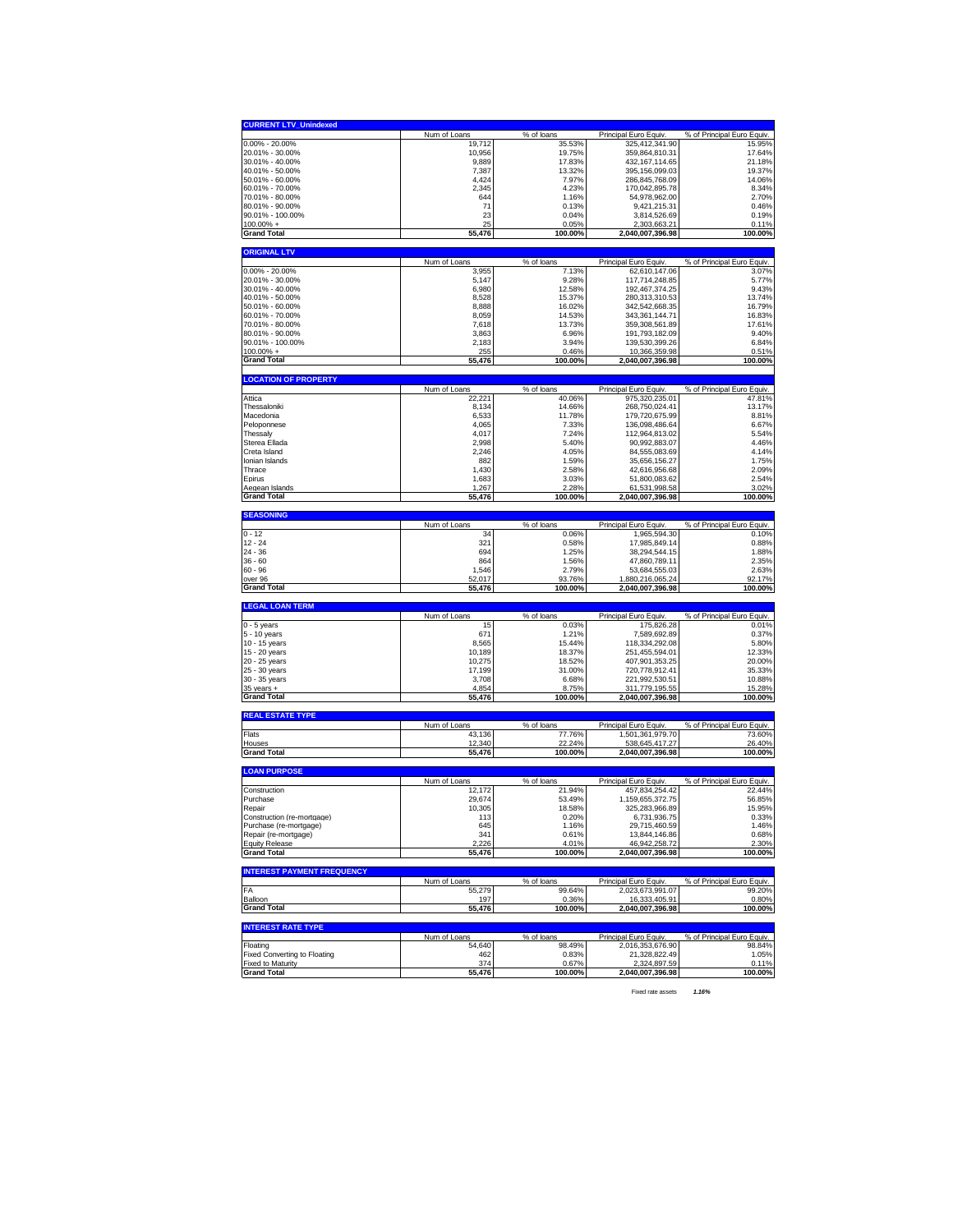| <b>CURRENT LTV_Unindexed</b>                                                                                                                                                                                                                                                                                                            |                        |                      |                                           |                                      |
|-----------------------------------------------------------------------------------------------------------------------------------------------------------------------------------------------------------------------------------------------------------------------------------------------------------------------------------------|------------------------|----------------------|-------------------------------------------|--------------------------------------|
|                                                                                                                                                                                                                                                                                                                                         | Num of Loans           | % of loans           | Principal Euro Equiv.                     | % of Principal Euro Equiv.           |
| $0.00\% - 20.00\%$                                                                                                                                                                                                                                                                                                                      | 19,712                 | 35.53%               | 325,412,341.90                            | 15.95%                               |
| 20.01% - 30.00%                                                                                                                                                                                                                                                                                                                         | 10,956                 | 19.75%               | 359,864,810.31                            | 17.64%                               |
|                                                                                                                                                                                                                                                                                                                                         |                        | 17.83%               |                                           |                                      |
| 30.01% - 40.00%                                                                                                                                                                                                                                                                                                                         | 9,889                  |                      | 432, 167, 114.65                          | 21.18%                               |
| 40.01% - 50.00%                                                                                                                                                                                                                                                                                                                         | 7,387                  | 13.32%               | 395, 156, 099.03                          | 19.37%                               |
| 50.01% - 60.00%                                                                                                                                                                                                                                                                                                                         | 4,424                  | 7.97%                | 286,845,768.09                            | 14.06%                               |
| 60.01% - 70.00%                                                                                                                                                                                                                                                                                                                         | 2,345                  | 4.23%                | 170,042,895.78                            | 8.34%                                |
| 70.01% - 80.00%                                                                                                                                                                                                                                                                                                                         | 644                    | 1.16%                | 54,978,962.00                             | 2.70%                                |
| 80.01% - 90.00%                                                                                                                                                                                                                                                                                                                         | 71                     | 0.13%                | 9.421.215.31                              | 0.46%                                |
| 90.01% - 100.00%                                                                                                                                                                                                                                                                                                                        | 23                     | 0.04%                | 3,814,526.69                              | 0.19%                                |
| 100.00% +                                                                                                                                                                                                                                                                                                                               | 25                     | 0.05%                | 2,303,663.21                              | 0.11%                                |
| <b>Grand Total</b>                                                                                                                                                                                                                                                                                                                      | 55,476                 | 100.00%              | 2,040,007,396.98                          | 100.00%                              |
| <b>ORIGINAL LTV</b>                                                                                                                                                                                                                                                                                                                     |                        |                      |                                           |                                      |
|                                                                                                                                                                                                                                                                                                                                         | Num of Loans           | % of loans           | Principal Euro Equiv.                     | % of Principal Euro Equiv.           |
| $0.00\% - 20.00\%$                                                                                                                                                                                                                                                                                                                      |                        |                      | 62,610,147.06                             |                                      |
|                                                                                                                                                                                                                                                                                                                                         | 3,955                  | 7.13%                |                                           | 3.07%                                |
| 20.01% - 30.00%                                                                                                                                                                                                                                                                                                                         | 5,147                  | 9.28%                | 117,714,248.85                            | 5.77%                                |
| 30.01% - 40.00%                                                                                                                                                                                                                                                                                                                         | 6,980                  | 12.58%               | 192.467.374.25                            | 9.43%                                |
| 40.01% - 50.00%                                                                                                                                                                                                                                                                                                                         | 8,528                  | 15.37%               | 280,313,310.53                            | 13.74%                               |
| 50.01% - 60.00%                                                                                                                                                                                                                                                                                                                         | 8,888                  | 16.02%               | 342,542,668.35                            | 16.79%                               |
| 60.01% - 70.00%                                                                                                                                                                                                                                                                                                                         | 8,059                  | 14.53%               | 343,361,144.71                            | 16.83%                               |
| 70.01% - 80.00%                                                                                                                                                                                                                                                                                                                         | 7,618                  | 13.73%               | 359,308,561.89                            | 17.61%                               |
| 80.01% - 90.00%                                                                                                                                                                                                                                                                                                                         | 3,863                  | 6.96%                | 191,793,182.09                            | 9.40%                                |
| 90.01% - 100.00%                                                                                                                                                                                                                                                                                                                        | 2.183                  | 3.94%                | 139,530,399.26                            | 6.84%                                |
| 100.00% +                                                                                                                                                                                                                                                                                                                               | 255                    | 0.46%                | 10,366,359.98                             | 0.51%                                |
| <b>Grand Total</b>                                                                                                                                                                                                                                                                                                                      | 55,476                 | 100.00%              | 2,040,007,396.98                          | 100.00%                              |
|                                                                                                                                                                                                                                                                                                                                         |                        |                      |                                           |                                      |
| <b>LOCATION OF PROPERTY</b>                                                                                                                                                                                                                                                                                                             |                        |                      |                                           |                                      |
| Attica                                                                                                                                                                                                                                                                                                                                  | Num of Loans<br>22,221 | % of loans<br>40.06% | Principal Euro Equiv<br>975,320,235.01    | % of Principal Euro Equiv.<br>47.81% |
| Thessaloniki                                                                                                                                                                                                                                                                                                                            | 8,134                  | 14.66%               | 268,750,024.41                            | 13.17%                               |
| Macedonia                                                                                                                                                                                                                                                                                                                               | 6,533                  | 11.78%               | 179,720,675.99                            | 8.81%                                |
|                                                                                                                                                                                                                                                                                                                                         |                        |                      |                                           |                                      |
| Peloponnese                                                                                                                                                                                                                                                                                                                             | 4,065                  | 7.33%                | 136,098,486.64                            | 6.67%                                |
| Thessaly                                                                                                                                                                                                                                                                                                                                | 4,017                  | 7.24%                | 112,964,813.02                            | 5.54%                                |
| Sterea Ellada                                                                                                                                                                                                                                                                                                                           | 2.998                  | 5.40%                | 90,992,883.07                             | 4.46%                                |
| Creta Island                                                                                                                                                                                                                                                                                                                            | 2,246                  | 4.05%                | 84,555,083.69                             | 4.14%                                |
| Ionian Islands                                                                                                                                                                                                                                                                                                                          | 882                    | 1.59%                | 35,656,156.27                             | 1.75%                                |
| Thrace                                                                                                                                                                                                                                                                                                                                  | 1,430                  | 2.58%                | 42,616,956.68                             | 2.09%                                |
| Epirus                                                                                                                                                                                                                                                                                                                                  | 1,683                  | 3.03%                | 51,800,083.62                             | 2.54%                                |
| Aegean Islands                                                                                                                                                                                                                                                                                                                          | 1,267                  | 2.28%                | 61,531,998.58                             | 3.02%                                |
| <b>Grand Total</b>                                                                                                                                                                                                                                                                                                                      | 55,476                 | 100.00%              | 2,040,007,396.98                          | 100.00%                              |
|                                                                                                                                                                                                                                                                                                                                         |                        |                      |                                           |                                      |
| <b>SEASONING</b>                                                                                                                                                                                                                                                                                                                        |                        |                      |                                           |                                      |
| $0 - 12$                                                                                                                                                                                                                                                                                                                                | Num of Loans<br>34     | % of loans<br>0.06%  | Principal Euro Equiv.<br>1,965,594.30     | % of Principal Euro Equiv.<br>0.10%  |
|                                                                                                                                                                                                                                                                                                                                         |                        |                      |                                           |                                      |
|                                                                                                                                                                                                                                                                                                                                         |                        |                      |                                           |                                      |
|                                                                                                                                                                                                                                                                                                                                         | 321                    | 0.58%                | 17.985.849.14                             | 0.88%                                |
|                                                                                                                                                                                                                                                                                                                                         | 694                    | 1.25%                | 38,294,544.15                             | 1.88%                                |
|                                                                                                                                                                                                                                                                                                                                         | 864                    | 1.56%                | 47,860,789.11                             | 2.35%                                |
|                                                                                                                                                                                                                                                                                                                                         | 1,546                  | 2.79%                | 53,684,555.03                             | 2.63%                                |
|                                                                                                                                                                                                                                                                                                                                         | 52,017                 | 93.76%               | 1,880,216,065.24                          | 92.17%                               |
|                                                                                                                                                                                                                                                                                                                                         | 55,476                 | 100.00%              | 2,040,007,396.98                          | 100.00%                              |
|                                                                                                                                                                                                                                                                                                                                         |                        |                      |                                           |                                      |
|                                                                                                                                                                                                                                                                                                                                         | Num of Loans           | % of loans           | Principal Euro Equiv.                     | % of Principal Euro Equiv.           |
|                                                                                                                                                                                                                                                                                                                                         | 15                     | 0.03%                | 175,826.28                                | 0.01%                                |
|                                                                                                                                                                                                                                                                                                                                         | 671                    | 1.21%                | 7,589,692.89                              | 0.37%                                |
|                                                                                                                                                                                                                                                                                                                                         | 8,565                  | 15.44%               |                                           | 5.80%                                |
|                                                                                                                                                                                                                                                                                                                                         | 10,189                 | 18.37%               | 118,334,292.08                            | 12.33%                               |
|                                                                                                                                                                                                                                                                                                                                         |                        |                      | 251,455,594.01                            |                                      |
|                                                                                                                                                                                                                                                                                                                                         | 10,275                 | 18.52%               | 407,901,353.25                            | 20.00%                               |
|                                                                                                                                                                                                                                                                                                                                         | 17,199                 | 31.00%               | 720,778,912.41                            | 35.33%                               |
|                                                                                                                                                                                                                                                                                                                                         | 3,708                  | 6.68%                | 221,992,530.51                            | 10.88%                               |
|                                                                                                                                                                                                                                                                                                                                         | 4,854<br>55,476        | 8.75%<br>100.00%     | 311,779,195.55<br>2,040,007,396.98        | 15.28%<br>100.00%                    |
|                                                                                                                                                                                                                                                                                                                                         |                        |                      |                                           |                                      |
|                                                                                                                                                                                                                                                                                                                                         |                        |                      |                                           |                                      |
|                                                                                                                                                                                                                                                                                                                                         | Num of Loans           | % of loans           | Principal Euro Equiv                      | % of Principal Euro Equiv.           |
|                                                                                                                                                                                                                                                                                                                                         | 43.136                 | 77.76%               | 1,501,361,979.70                          | 73.60%                               |
|                                                                                                                                                                                                                                                                                                                                         | 12,340                 | 22.24%<br>100.00%    | 538.645.417.27                            | 26.40%<br>100.00%                    |
| $12 - 24$<br>24 - 36<br>$36 - 60$<br>60 - 96<br>over 96<br><b>Grand Total</b><br><b>LEGAL LOAN TERM</b><br>0 - 5 years<br>5 - 10 years<br>10 - 15 years<br>15 - 20 years<br>20 - 25 years<br>25 - 30 years<br>30 - 35 years<br>$35$ years $+$<br><b>Grand Total</b><br><b>REAL ESTATE TYPE</b><br>Flats<br>Houses<br><b>Grand Total</b> | 55,476                 |                      | 2,040,007,396.98                          |                                      |
|                                                                                                                                                                                                                                                                                                                                         |                        |                      |                                           |                                      |
|                                                                                                                                                                                                                                                                                                                                         | Num of Loans           | % of loans           | Principal Euro Equiv                      | % of Principal Euro Equiv.           |
|                                                                                                                                                                                                                                                                                                                                         | 12,172                 | 21.94%               | 457.834.254.42                            | 22.44%                               |
|                                                                                                                                                                                                                                                                                                                                         | 29,674                 | 53.49%               | 1.159.655.372.75                          | 56.85%                               |
|                                                                                                                                                                                                                                                                                                                                         | 10,305                 | 18.58%               | 325,283,966.89                            | 15.95%                               |
|                                                                                                                                                                                                                                                                                                                                         | 113                    | 0.20%                | 6.731.936.75                              | 0.33%                                |
|                                                                                                                                                                                                                                                                                                                                         | 645                    | 1.16%                | 29,715,460.59                             | 1.46%                                |
|                                                                                                                                                                                                                                                                                                                                         | 341                    | 0.61%                | 13,844,146.86                             | 0.68%                                |
|                                                                                                                                                                                                                                                                                                                                         | 2,226                  | 4.01%                | 46,942,258.72                             | 2.30%                                |
|                                                                                                                                                                                                                                                                                                                                         | 55,476                 | 100.00%              | 2,040,007,396.98                          | 100.00%                              |
|                                                                                                                                                                                                                                                                                                                                         |                        |                      |                                           |                                      |
|                                                                                                                                                                                                                                                                                                                                         |                        |                      |                                           |                                      |
|                                                                                                                                                                                                                                                                                                                                         | Num of Loans<br>55,279 | % of loans<br>99.64% | Principal Euro Equiv.<br>2.023.673.991.07 | % of Principal Euro Equiv.<br>99.20% |
|                                                                                                                                                                                                                                                                                                                                         | 197                    | 0.36%                | 16,333,405.91                             | 0.80%                                |
| <b>LOAN PURPOSE</b><br>Construction<br>Purchase<br>Repair<br>Construction (re-mortgage)<br>Purchase (re-mortgage)<br>Repair (re-mortgage)<br><b>Equity Release</b><br><b>Grand Total</b><br><b>INTEREST PAYMENT FREQUENCY</b><br>FA<br>Balloon<br><b>Grand Total</b>                                                                    | 55,476                 | 100.00%              | 2,040,007,396.98                          | 100.00%                              |
|                                                                                                                                                                                                                                                                                                                                         |                        |                      |                                           |                                      |
| <b>INTEREST RATE TYPE</b>                                                                                                                                                                                                                                                                                                               |                        |                      |                                           |                                      |
|                                                                                                                                                                                                                                                                                                                                         | Num of Loans           | % of loans           | Principal Euro Equiv.                     | % of Principal Euro Equiv.           |
|                                                                                                                                                                                                                                                                                                                                         | 54,640                 | 98.49%               | 2,016,353,676.90                          | 98.84%                               |
| Floating<br>Fixed Converting to Floating<br><b>Fixed to Maturity</b>                                                                                                                                                                                                                                                                    | 462<br>374             | 0.83%<br>0.67%       | 21,328,822.49<br>2,324,897.59             | 1.05%<br>0.11%                       |

Fixed rate assets *1.16%*